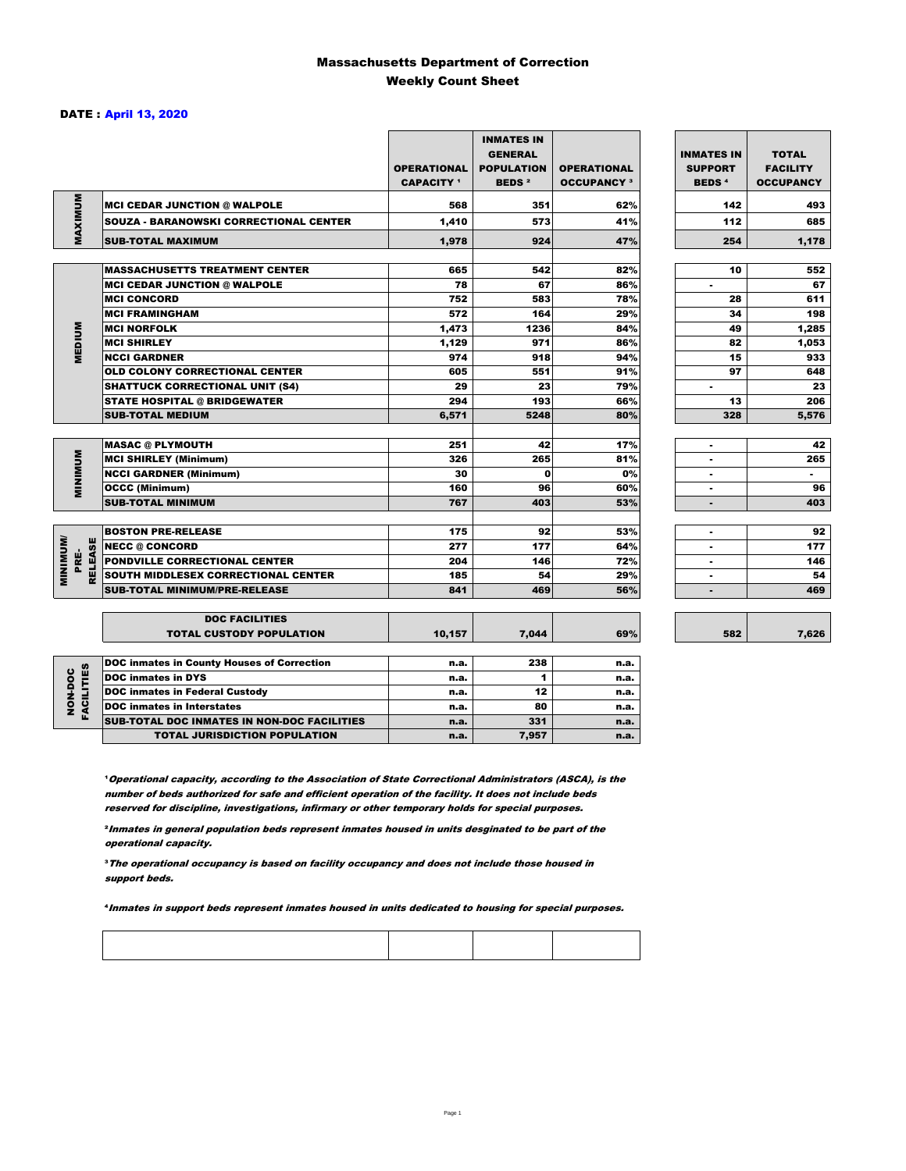### Massachusetts Department of Correction Weekly Count Sheet

### DATE : April 13, 2020

|                                   |                                                   | <b>OPERATIONAL</b><br><b>CAPACITY</b> <sup>1</sup> | <b>INMATES IN</b><br><b>GENERAL</b><br><b>POPULATION</b><br><b>BEDS<sup>2</sup></b> | <b>OPERATIONAL</b><br><b>OCCUPANCY 3</b> | <b>INMATES IN</b><br><b>SUPPORT</b><br><b>BEDS<sup>4</sup></b> | <b>TOTAL</b><br><b>FACILITY</b><br><b>OCCUPANCY</b> |
|-----------------------------------|---------------------------------------------------|----------------------------------------------------|-------------------------------------------------------------------------------------|------------------------------------------|----------------------------------------------------------------|-----------------------------------------------------|
|                                   | <b>MCI CEDAR JUNCTION @ WALPOLE</b>               | 568                                                | 351                                                                                 | 62%                                      | 142                                                            | 493                                                 |
|                                   | <b>SOUZA - BARANOWSKI CORRECTIONAL CENTER</b>     | 1,410                                              | 573                                                                                 | 41%                                      | 112                                                            | 685                                                 |
| MAXIMUM                           | <b>SUB-TOTAL MAXIMUM</b>                          | 1,978                                              | 924                                                                                 | 47%                                      | 254                                                            | 1,178                                               |
|                                   |                                                   |                                                    |                                                                                     |                                          |                                                                |                                                     |
|                                   | <b>MASSACHUSETTS TREATMENT CENTER</b>             | 665                                                | 542                                                                                 | 82%                                      | 10                                                             | 552                                                 |
|                                   | <b>MCI CEDAR JUNCTION @ WALPOLE</b>               | 78                                                 | 67                                                                                  | 86%                                      | ٠                                                              | 67                                                  |
|                                   | <b>MCI CONCORD</b>                                | 752                                                | 583                                                                                 | 78%                                      | 28                                                             | 611                                                 |
|                                   | <b>MCI FRAMINGHAM</b>                             | 572                                                | 164                                                                                 | 29%                                      | 34                                                             | 198                                                 |
| <b>MEDIUM</b>                     | <b>MCI NORFOLK</b>                                | 1,473                                              | 1236                                                                                | 84%                                      | 49                                                             | 1,285                                               |
|                                   | <b>MCI SHIRLEY</b>                                | 1,129                                              | 971                                                                                 | 86%                                      | 82                                                             | 1,053                                               |
|                                   | <b>NCCI GARDNER</b>                               | 974                                                | 918                                                                                 | 94%                                      | 15                                                             | 933                                                 |
|                                   | <b>OLD COLONY CORRECTIONAL CENTER</b>             | 605                                                | 551                                                                                 | 91%                                      | 97                                                             | 648                                                 |
|                                   | <b>SHATTUCK CORRECTIONAL UNIT (S4)</b>            | 29                                                 | 23                                                                                  | 79%                                      | ٠                                                              | 23                                                  |
|                                   | <b>STATE HOSPITAL @ BRIDGEWATER</b>               | 294                                                | 193                                                                                 | 66%                                      | 13                                                             | 206                                                 |
|                                   | <b>SUB-TOTAL MEDIUM</b>                           | 6,571                                              | 5248                                                                                | 80%                                      | 328                                                            | 5,576                                               |
|                                   | <b>MASAC @ PLYMOUTH</b>                           | 251                                                | 42                                                                                  | 17%                                      |                                                                | 42                                                  |
| <b>MINIMUM</b>                    | <b>MCI SHIRLEY (Minimum)</b>                      | 326                                                | 265                                                                                 | 81%                                      | $\blacksquare$                                                 | 265                                                 |
|                                   | <b>NCCI GARDNER (Minimum)</b>                     | 30                                                 | $\Omega$                                                                            | 0%                                       | ٠                                                              | $\blacksquare$                                      |
|                                   | <b>OCCC (Minimum)</b>                             | 160                                                | 96                                                                                  | 60%                                      | ٠                                                              | 96                                                  |
|                                   | <b>SUB-TOTAL MINIMUM</b>                          | 767                                                | 403                                                                                 | 53%                                      | $\blacksquare$                                                 | 403                                                 |
|                                   |                                                   |                                                    |                                                                                     |                                          |                                                                |                                                     |
|                                   | <b>BOSTON PRE-RELEASE</b>                         | 175                                                | 92                                                                                  | 53%                                      | $\overline{\phantom{a}}$                                       | 92                                                  |
|                                   | <b>NECC @ CONCORD</b>                             | 277                                                | 177                                                                                 | 64%                                      |                                                                | 177                                                 |
| PRE-                              | <b>PONDVILLE CORRECTIONAL CENTER</b>              | 204                                                | 146                                                                                 | 72%                                      | ٠                                                              | 146                                                 |
| <b>MINIMINI</b><br><b>RELEASE</b> | SOUTH MIDDLESEX CORRECTIONAL CENTER               | 185                                                | 54                                                                                  | 29%                                      | $\overline{\phantom{a}}$                                       | 54                                                  |
|                                   | <b>SUB-TOTAL MINIMUM/PRE-RELEASE</b>              | 841                                                | 469                                                                                 | 56%                                      |                                                                | 469                                                 |
|                                   | <b>DOC FACILITIES</b>                             |                                                    |                                                                                     |                                          |                                                                |                                                     |
|                                   | <b>TOTAL CUSTODY POPULATION</b>                   | 10,157                                             | 7,044                                                                               | 69%                                      | 582                                                            | 7,626                                               |
|                                   | <b>DOC inmates in County Houses of Correction</b> | n.a.                                               | 238                                                                                 | n.a.                                     |                                                                |                                                     |
| <b>FACILITIES</b>                 | <b>DOC</b> inmates in DYS                         | n.a.                                               | 1                                                                                   | n.a.                                     |                                                                |                                                     |
|                                   | <b>DOC inmates in Federal Custody</b>             | n.a.                                               | 12                                                                                  | n.a.                                     |                                                                |                                                     |
| NON-DOC                           | <b>DOC</b> inmates in Interstates                 | n.a.                                               | 80                                                                                  | n.a.                                     |                                                                |                                                     |
|                                   | CUB TOTAL BOO INIMETED IN NON-BOO FAOILITIED      |                                                    | 0.2 <sub>0</sub>                                                                    |                                          |                                                                |                                                     |

**Operational capacity, according to the Association of State Correctional Administrators (ASCA), is the** number of beds authorized for safe and efficient operation of the facility. It does not include beds reserved for discipline, investigations, infirmary or other temporary holds for special purposes.

SUB-TOTAL DOC INMATES IN NON-DOC FACILITIES n.a. 331 n.a. TOTAL JURISDICTION POPULATION **n.a.** 7,957 n.a.

²Inmates in general population beds represent inmates housed in units desginated to be part of the operational capacity.

³The operational occupancy is based on facility occupancy and does not include those housed in support beds.

⁴Inmates in support beds represent inmates housed in units dedicated to housing for special purposes.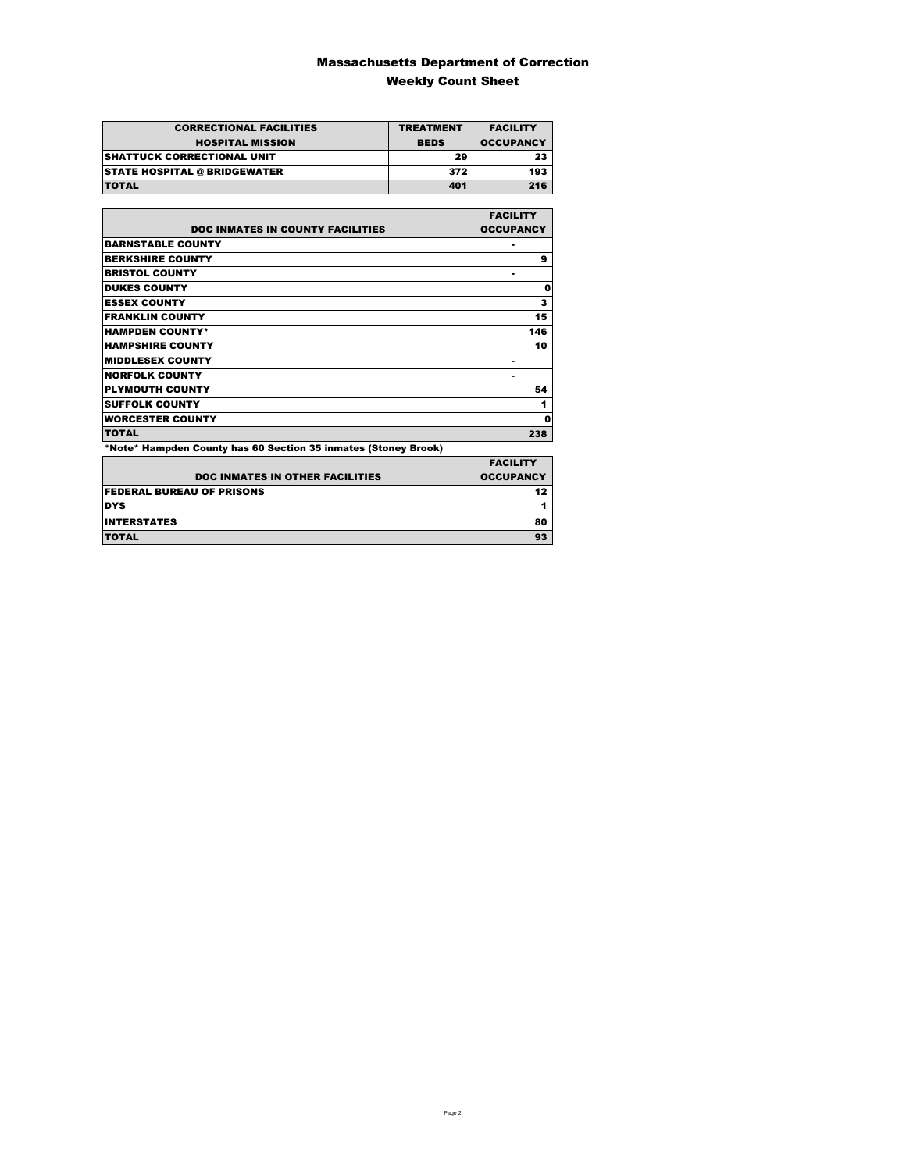### Massachusetts Department of Correction Weekly Count Sheet

| <b>CORRECTIONAL FACILITIES</b>      | <b>TREATMENT</b> | <b>FACILITY</b>  |
|-------------------------------------|------------------|------------------|
| <b>HOSPITAL MISSION</b>             | <b>BEDS</b>      | <b>OCCUPANCY</b> |
| <b>SHATTUCK CORRECTIONAL UNIT</b>   | 29               | 23               |
| <b>STATE HOSPITAL @ BRIDGEWATER</b> | 372              | 193              |
| <b>TOTAL</b>                        | 401              | 216              |

|                                                                | <b>FACILITY</b>  |
|----------------------------------------------------------------|------------------|
| <b>DOC INMATES IN COUNTY FACILITIES</b>                        | <b>OCCUPANCY</b> |
| <b>BARNSTABLE COUNTY</b>                                       |                  |
| <b>BERKSHIRE COUNTY</b>                                        | 9                |
| <b>BRISTOL COUNTY</b>                                          |                  |
| <b>DUKES COUNTY</b>                                            | 0                |
| <b>ESSEX COUNTY</b>                                            | 3                |
| <b>FRANKLIN COUNTY</b>                                         | 15               |
| <b>HAMPDEN COUNTY*</b>                                         | 146              |
| <b>HAMPSHIRE COUNTY</b>                                        | 10               |
| <b>MIDDLESEX COUNTY</b>                                        |                  |
| <b>NORFOLK COUNTY</b>                                          | ۰                |
| <b>PLYMOUTH COUNTY</b>                                         | 54               |
| <b>SUFFOLK COUNTY</b>                                          | 1                |
| <b>WORCESTER COUNTY</b>                                        | 0                |
| <b>TOTAL</b>                                                   | 238              |
| *Note* Hampden County has 60 Section 35 inmates (Stoney Brook) |                  |

|                                        | <b>FACILITY</b>  |
|----------------------------------------|------------------|
| <b>DOC INMATES IN OTHER FACILITIES</b> | <b>OCCUPANCY</b> |
| <b>FEDERAL BUREAU OF PRISONS</b>       | 12               |
| <b>DYS</b>                             |                  |
| <b>INTERSTATES</b>                     | 80               |
| <b>TOTAL</b>                           | 93               |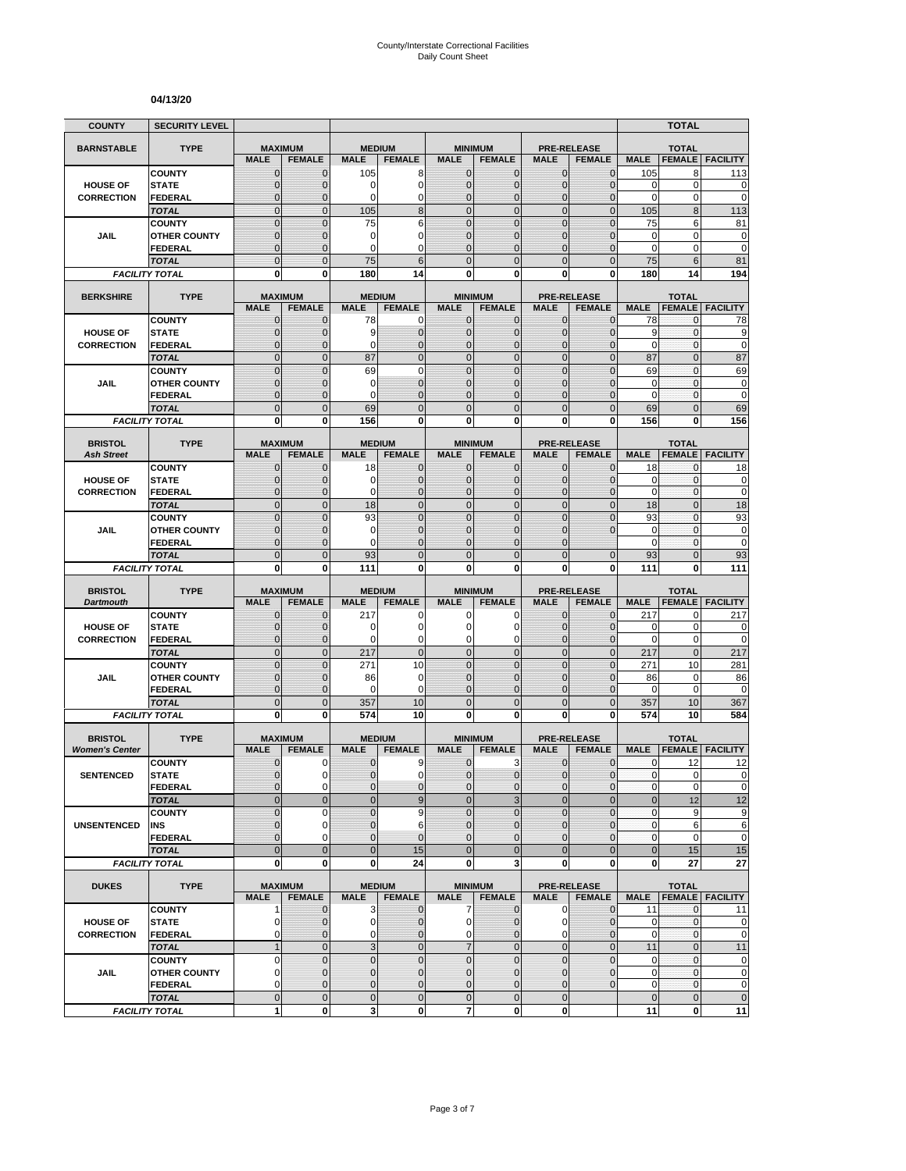#### **04/13/20**

| <b>COUNTY</b>         | <b>SECURITY LEVEL</b>                 |                               |                              |                               |                                  |                               |                                 |                              |                                     |                           | <b>TOTAL</b>       |                            |
|-----------------------|---------------------------------------|-------------------------------|------------------------------|-------------------------------|----------------------------------|-------------------------------|---------------------------------|------------------------------|-------------------------------------|---------------------------|--------------------|----------------------------|
| <b>BARNSTABLE</b>     | <b>TYPE</b>                           | <b>MAXIMUM</b>                |                              | <b>MEDIUM</b>                 |                                  |                               | <b>MINIMUM</b>                  |                              | <b>PRE-RELEASE</b>                  |                           | <b>TOTAL</b>       |                            |
|                       |                                       | <b>MALE</b>                   | <b>FEMALE</b>                | <b>MALE</b>                   | <b>FEMALE</b>                    | <b>MALE</b>                   | <b>FEMALE</b>                   | <b>MALE</b>                  | <b>FEMALE</b>                       | <b>MALE</b>               | <b>FEMALE</b>      | <b>FACILITY</b>            |
|                       | <b>COUNTY</b>                         | $\mathbf 0$                   | $\mathbf{0}$                 | 105                           | 8                                | $\mathbf{0}$                  | 0                               | $\mathbf{0}$                 | $\mathbf 0$                         | 105                       | 8                  | 113                        |
| <b>HOUSE OF</b>       | <b>STATE</b>                          | 0                             | $\mathbf{0}$                 | 0                             | 0                                | $\mathbf{0}$                  | 0                               | $\mathbf{0}$                 | $\mathbf 0$                         | 0                         | 0                  | 0                          |
| <b>CORRECTION</b>     | <b>FEDERAL</b><br><b>TOTAL</b>        | $\overline{0}$<br>$\mathbf 0$ | $\Omega$<br>$\mathbf{0}$     | 0<br>105                      | 0<br>8                           | $\mathbf{0}$<br>$\mathbf{0}$  | $\overline{0}$<br>$\mathbf 0$   | $\Omega$<br>$\mathbf{0}$     | $\overline{0}$<br>$\overline{0}$    | $\mathbf 0$<br>105        | 0<br>8             | $\mathbf 0$<br>113         |
|                       | <b>COUNTY</b>                         | $\mathbf 0$                   | $\mathbf{0}$                 | 75                            | 6                                | $\mathbf{0}$                  | $\mathbf 0$                     | $\mathbf 0$                  | $\mathbf 0$                         | 75                        | 6                  | 81                         |
| JAIL                  | <b>OTHER COUNTY</b>                   | $\overline{0}$                | $\Omega$                     | 0                             | $\overline{0}$                   | $\Omega$                      | $\overline{0}$                  | $\Omega$                     | $\overline{0}$                      | 0                         | 0                  | 0                          |
|                       | <b>FEDERAL</b>                        | 0                             | $\mathbf{0}$                 | 0                             | 0                                | $\mathbf{0}$                  | 0                               | $\mathbf 0$                  | $\mathbf{0}$                        | 0                         | 0                  | $\mathbf 0$                |
|                       | <b>TOTAL</b>                          | $\overline{0}$                | $\overline{0}$               | 75                            | 6                                | $\mathbf 0$                   | $\overline{0}$                  | $\Omega$                     | $\overline{0}$                      | 75                        | 6                  | 81                         |
|                       | <b>FACILITY TOTAL</b>                 | $\mathbf{0}$                  | $\mathbf{0}$                 | 180                           | 14                               | $\mathbf{0}$                  | $\bf{0}$                        | 0                            | $\mathbf{0}$                        | 180                       | 14                 | 194                        |
| <b>BERKSHIRE</b>      | <b>TYPE</b>                           | <b>MAXIMUM</b>                |                              |                               | <b>MEDIUM</b>                    |                               | <b>MINIMUM</b>                  |                              | <b>PRE-RELEASE</b>                  |                           | <b>TOTAL</b>       |                            |
|                       |                                       | <b>MALE</b>                   | <b>FEMALE</b>                | <b>MALE</b>                   | <b>FEMALE</b>                    | <b>MALE</b>                   | <b>FEMALE</b>                   | <b>MALE</b>                  | <b>FEMALE</b>                       | <b>MALE</b>               | <b>FEMALE</b>      | <b>FACILITY</b>            |
|                       | <b>COUNTY</b>                         | 0                             | $\mathbf 0$                  | 78                            | 0                                | $\mathbf{0}$                  | $\mathbf{0}$                    | $\mathbf{0}$                 | $\mathbf{0}$                        | 78                        | 0                  | 78                         |
| <b>HOUSE OF</b>       | <b>STATE</b>                          | $\mathbf 0$                   | $\mathbf{0}$                 | 9                             | $\mathbf 0$                      | $\mathbf{0}$                  | $\mathbf 0$                     | $\mathbf{0}$                 | $\mathbf 0$                         | 9                         | $\mathbf{0}$       | 9                          |
| <b>CORRECTION</b>     | <b>FEDERAL</b>                        | $\mathbf{0}$                  | $\mathbf{0}$                 | 0                             | $\overline{0}$                   | $\mathbf{0}$                  | $\mathbf{0}$                    | $\mathbf{0}$                 | $\mathbf 0$                         | $\mathbf 0$               | $\mathbf{0}$       | $\mathbf 0$                |
|                       | <b>TOTAL</b>                          | $\overline{0}$                | $\mathbf{0}$                 | 87                            | $\overline{0}$                   | $\Omega$                      | $\overline{0}$                  | $\overline{0}$               | $\overline{0}$                      | 87                        | $\overline{0}$     | 87                         |
|                       | <b>COUNTY</b>                         | $\overline{0}$                | $\Omega$                     | 69                            | $\overline{0}$<br>$\overline{0}$ | $\mathbf 0$                   | $\overline{0}$                  | $\overline{0}$               | $\overline{0}$                      | 69                        | $\mathbf 0$        | 69                         |
| <b>JAIL</b>           | <b>OTHER COUNTY</b><br><b>FEDERAL</b> | $\mathbf 0$<br>$\overline{0}$ | $\mathbf{0}$<br>$\mathbf{0}$ | 0<br>0                        | $\overline{0}$                   | $\mathbf{0}$<br>$\mathbf{0}$  | $\mathbf 0$<br>$\mathbf 0$      | $\mathbf 0$<br>$\mathbf 0$   | $\overline{0}$<br>$\overline{0}$    | 0<br>$\mathbf 0$          | 0<br>$\mathbf{0}$  | 0<br>$\mathbf 0$           |
|                       | <b>TOTAL</b>                          | $\mathbf 0$                   | $\mathbf{0}$                 | 69                            | $\mathbf 0$                      | $\overline{0}$                | $\mathbf 0$                     | $\mathbf{0}$                 | $\mathbf 0$                         | 69                        | $\mathbf{0}$       | 69                         |
|                       | <b>FACILITY TOTAL</b>                 | $\mathbf{0}$                  | $\bf{0}$                     | 156                           | $\mathbf{0}$                     | 0                             | $\mathbf 0$                     | $\mathbf{0}$                 | $\mathbf{0}$                        | 156                       | 0                  | 156                        |
|                       |                                       |                               |                              |                               |                                  |                               |                                 |                              |                                     |                           |                    |                            |
| <b>BRISTOL</b>        | <b>TYPE</b>                           | <b>MAXIMUM</b>                |                              |                               | <b>MEDIUM</b>                    |                               | <b>MINIMUM</b>                  | <b>MALE</b>                  | <b>PRE-RELEASE</b>                  |                           | <b>TOTAL</b>       |                            |
| <b>Ash Street</b>     |                                       | <b>MALE</b><br>$\mathbf 0$    | <b>FEMALE</b>                | <b>MALE</b>                   | <b>FEMALE</b><br>$\mathbf 0$     | <b>MALE</b><br>$\mathbf{0}$   | <b>FEMALE</b><br>$\mathbf{0}$   | $\mathbf{0}$                 | <b>FEMALE</b><br>$\overline{0}$     | <b>MALE</b><br>18         | <b>FEMALE</b><br>0 | <b>FACILITY</b><br>18      |
| <b>HOUSE OF</b>       | <b>COUNTY</b><br><b>STATE</b>         | 0                             | $\mathbf 0$<br>$\mathbf{0}$  | 18<br>0                       | $\mathbf 0$                      | $\Omega$                      | 0                               | $\mathbf{0}$                 | $\mathbf{0}$                        | $\mathbf 0$               | 0                  | $\bf{0}$                   |
| <b>CORRECTION</b>     | <b>FEDERAL</b>                        | $\overline{0}$                | $\mathbf{0}$                 | 0                             | $\mathbf 0$                      | $\mathbf{0}$                  | $\mathbf 0$                     | $\mathbf{0}$                 | $\overline{0}$                      | $\mathbf 0$               | $\mathbf{0}$       | $\mathbf 0$                |
|                       | <b>TOTAL</b>                          | $\mathbf 0$                   | $\mathbf{0}$                 | 18                            | $\mathbf 0$                      | $\mathbf{0}$                  | $\mathbf 0$                     | $\mathbf{0}$                 | $\mathbf 0$                         | 18                        | $\overline{0}$     | 18                         |
|                       | <b>COUNTY</b>                         | $\overline{0}$                | $\Omega$                     | 93                            | $\Omega$                         | $\Omega$                      | $\overline{0}$                  | $\Omega$                     | $\overline{0}$                      | 93                        | $\mathbf{0}$       | 93                         |
| JAIL                  | <b>OTHER COUNTY</b>                   | $\overline{0}$                | $\mathbf 0$                  | 0                             | $\overline{0}$                   | $\mathbf{0}$                  | $\overline{0}$                  | 0                            | $\Omega$                            | $\mathbf 0$               | $\mathbf 0$        | 0                          |
|                       | FEDERAL                               | $\mathbf 0$                   | $\mathbf{0}$                 | 0                             | $\overline{0}$                   | $\mathbf{0}$                  | 0                               | $\Omega$                     |                                     | 0                         | 0                  | $\mathbf 0$                |
|                       | <b>TOTAL</b>                          | $\overline{0}$                | $\overline{0}$               | 93                            | $\overline{0}$                   | $\overline{0}$                | $\overline{0}$                  | $\Omega$                     | $\overline{0}$                      | 93                        | $\overline{0}$     | 93                         |
|                       | <b>FACILITY TOTAL</b>                 | 0                             | 0                            | 111                           | 0                                | 0                             | 0                               | 0                            | 0                                   | 111                       | 0                  | 111                        |
| <b>BRISTOL</b>        | <b>TYPE</b>                           | <b>MAXIMUM</b>                |                              |                               | <b>MEDIUM</b>                    |                               | <b>MINIMUM</b>                  |                              | <b>PRE-RELEASE</b>                  |                           | <b>TOTAL</b>       |                            |
| <b>Dartmouth</b>      |                                       | <b>MALE</b>                   | <b>FEMALE</b>                | <b>MALE</b>                   | <b>FEMALE</b>                    | <b>MALE</b>                   | <b>FEMALE</b>                   | <b>MALE</b>                  | <b>FEMALE</b>                       | <b>MALE</b>               | <b>FEMALE</b>      | <b>FACILITY</b>            |
|                       | <b>COUNTY</b>                         | 0                             | $\mathbf{0}$                 | 217                           | 0                                | 0                             | 0                               | $\mathbf{0}$                 | $\mathbf 0$                         | 217                       | 0                  | 217                        |
| <b>HOUSE OF</b>       | <b>STATE</b>                          | 0<br>$\overline{0}$           | $\mathbf{0}$<br>$\mathbf{0}$ | 0<br>0                        | 0<br>0                           | $\Omega$<br>$\mathbf 0$       | 0<br>0                          | $\mathbf 0$<br>$\mathbf 0$   | $\mathbf 0$<br>$\mathbf{0}$         | 0<br>$\mathbf 0$          | 0<br>0             | $\mathbf 0$<br>$\mathbf 0$ |
| <b>CORRECTION</b>     | <b>FEDERAL</b><br><b>TOTAL</b>        | $\overline{0}$                | $\mathbf{0}$                 | 217                           | $\overline{0}$                   | $\overline{0}$                | $\overline{0}$                  | $\mathbf{0}$                 | $\overline{0}$                      | 217                       | $\mathbf{0}$       | 217                        |
|                       | <b>COUNTY</b>                         | $\mathbf 0$                   | $\mathbf{0}$                 | 271                           | 10                               | $\mathbf{0}$                  | $\mathbf 0$                     | $\mathbf{0}$                 | $\mathbf 0$                         | 271                       | 10                 | 281                        |
| <b>JAIL</b>           | <b>OTHER COUNTY</b>                   | $\overline{0}$                | $\Omega$                     | 86                            | 0                                | $\Omega$                      | $\overline{0}$                  | $\Omega$                     | $\Omega$                            | 86                        | 0                  | 86                         |
|                       | <b>FEDERAL</b>                        | $\mathbf 0$                   | $\mathbf{0}$                 | 0                             | 0                                | $\mathbf{0}$                  | $\mathbf 0$                     | $\mathbf 0$                  | $\overline{0}$                      | $\mathbf 0$               | $\mathbf 0$        | $\mathbf 0$                |
|                       | <b>TOTAL</b>                          | $\mathbf 0$                   | $\overline{0}$               | 357                           | 10                               | $\mathbf{0}$                  | $\mathbf 0$                     | $\overline{0}$               | $\mathbf 0$                         | 357                       | 10                 | 367                        |
|                       | <b>FACILITY TOTAL</b>                 | 0                             | $\mathbf{0}$                 | 574                           | 10                               | $\mathbf{0}$                  | $\bf{0}$                        | 0                            | 0                                   | 574                       | 10                 | 584                        |
| <b>BRISTOL</b>        | <b>TYPE</b>                           | <b>MAXIMUM</b>                |                              |                               | <b>MEDIUM</b>                    |                               | <b>MINIMUM</b>                  |                              | <b>PRE-RELEASE</b>                  |                           | <b>TOTAL</b>       |                            |
| <b>Women's Center</b> |                                       | <b>MALE</b>                   | <b>FEMALE</b>                | <b>MALE</b>                   | <b>FEMALE</b>                    | <b>MALE</b>                   | <b>FEMALE</b>                   | <b>MALE</b>                  | <b>FEMALE</b>                       | <b>MALE</b>               | <b>FEMALE</b>      | <b>FACILITY</b>            |
|                       | <b>COUNTY</b>                         | 0                             | 0                            | $\mathbf 0$                   | 9                                | $\mathbf 0$                   | 3                               | $\mathbf{0}$                 | $\mathbf{0}$                        | $\mathbf{0}$              | 12                 | 12                         |
| <b>SENTENCED</b>      | <b>STATE</b>                          | $\Omega$                      | $\Omega$                     | $\Omega$                      | $\Omega$                         | $\Omega$                      | $\Omega$                        | $\Omega$                     | $\Omega$                            | $\mathbf{0}$              | $\mathbf 0$        | $\mathbf 0$                |
|                       | <b>FEDERAL</b>                        | $\mathbf 0$                   | $\mathbf 0$                  | $\pmb{0}$                     | $\mathbf{0}$                     | $\mathbf 0$                   | $\mathbf{0}$                    | $\mathbf 0$                  | $\mathbf 0$                         | $\pmb{0}$                 | 0                  | $\pmb{0}$                  |
|                       | <b>TOTAL</b>                          | $\mathbf 0$                   | $\mathbf{0}$                 | $\mathbf 0$                   | 9                                | $\mathbf 0$                   | 3                               | $\mathbf{0}$                 | $\overline{0}$                      | $\mathbf 0$               | 12                 | 12                         |
|                       | <b>COUNTY</b>                         | $\mathbf 0$                   | 0                            | 0                             | 9                                | $\mathbf{0}$                  | $\mathbf 0$                     | $\mathbf 0$                  | $\mathbf 0$                         | $\pmb{0}$                 | 9                  | 9                          |
| <b>UNSENTENCED</b>    | INS<br><b>FEDERAL</b>                 | 0<br>$\mathbf 0$              | $\mathbf 0$<br>$\mathbf 0$   | $\mathbf 0$<br>$\overline{0}$ | 6<br>$\overline{0}$              | $\mathbf{0}$<br>$\mathbf{0}$  | $\mathbf 0$<br>$\mathbf 0$      | $\mathbf{0}$<br>$\mathbf{0}$ | $\mathbf{0}$<br>$\mathbf 0$         | $\mathbf{0}$<br>$\pmb{0}$ | 6<br>$\mathbf 0$   | $\,6$<br>$\mathbf 0$       |
|                       | <b>TOTAL</b>                          | $\overline{0}$                | $\mathbf{0}$                 | $\mathbf 0$                   | 15                               | $\overline{0}$                | $\mathbf{0}$                    | $\mathbf{0}$                 | $\mathbf 0$                         | $\bf 0$                   | 15                 | 15                         |
|                       | <b>FACILITY TOTAL</b>                 | $\mathbf{0}$                  | $\bf{0}$                     | 0                             | 24                               | 0                             | 3                               | $\mathbf{0}$                 | 0                                   | 0                         | 27                 | 27                         |
|                       |                                       |                               |                              |                               |                                  |                               |                                 |                              |                                     |                           |                    |                            |
| <b>DUKES</b>          | <b>TYPE</b>                           | <b>MAXIMUM</b><br><b>MALE</b> | <b>FEMALE</b>                | <b>MALE</b>                   | <b>MEDIUM</b><br><b>FEMALE</b>   | <b>MALE</b>                   | <b>MINIMUM</b><br><b>FEMALE</b> | <b>MALE</b>                  | <b>PRE-RELEASE</b><br><b>FEMALE</b> | <b>MALE</b>               | <b>TOTAL</b>       | <b>FEMALE FACILITY</b>     |
|                       | <b>COUNTY</b>                         | 1                             | $\mathbf{0}$                 | 3                             | $\mathbf 0$                      | $\overline{7}$                | $\mathbf{0}$                    | $\mathbf 0$                  | $\mathbf 0$                         | 11                        | 0                  | 11                         |
| <b>HOUSE OF</b>       | <b>STATE</b>                          | 0                             | $\mathbf 0$                  | 0                             | $\mathbf 0$                      | $\overline{0}$                | 0                               | 0                            | $\mathbf 0$                         | $\mathbf 0$               | $\mathbf 0$        | $\mathbf 0$                |
| <b>CORRECTION</b>     | <b>FEDERAL</b>                        | 0                             | $\mathbf 0$                  | 0                             | 0                                | $\mathbf{0}$                  | 0                               | 0                            | $\overline{0}$                      | 0                         | 0                  | $\mathbf 0$                |
|                       | <b>TOTAL</b>                          | $\mathbf{1}$                  | $\mathbf{0}$                 | 3                             | $\mathbf 0$                      | $\overline{7}$                | $\mathbf 0$                     | $\mathbf{0}$                 | $\overline{0}$                      | 11                        | $\mathbf 0$        | 11                         |
|                       | <b>COUNTY</b>                         | $\pmb{0}$                     | $\mathbf 0$                  | $\mathbf 0$                   | $\mathbf 0$                      | $\mathbf 0$                   | $\mathbf 0$                     | $\mathbf 0$                  | $\mathbf 0$                         | $\mathbf 0$               | $\mathbf{0}$       | $\mathbf 0$                |
| JAIL                  | <b>OTHER COUNTY</b>                   | 0                             | $\mathbf{0}$                 | $\mathbf{0}$                  | $\overline{0}$                   | $\mathbf{0}$                  | $\mathbf{0}$                    | $\mathbf{0}$                 | $\mathbf{0}$                        | $\pmb{0}$                 | $\mathbf 0$        | $\pmb{0}$                  |
|                       | <b>FEDERAL</b>                        | 0                             | $\mathbf{0}$                 | $\pmb{0}$                     | $\mathbf 0$                      | $\mathbf{0}$                  | 0                               | $\mathbf{0}$                 | $\mathbf 0$                         | 0                         | $\mathbf 0$        | $\mathbf 0$                |
|                       | <b>TOTAL</b>                          | $\mathbf 0$                   | $\mathbf{0}$                 | $\mathbf 0$                   | $\mathbf 0$                      | $\mathbf 0$<br>$\overline{7}$ | $\mathbf 0$                     | $\mathbf{0}$                 |                                     | $\mathbf 0$               | $\mathbf 0$        | $\pmb{0}$                  |
|                       | <b>FACILITY TOTAL</b>                 | 1                             | $\mathbf{0}$                 | 3                             | 0                                |                               | 0                               | $\mathbf{0}$                 |                                     | 11                        | 0                  | 11                         |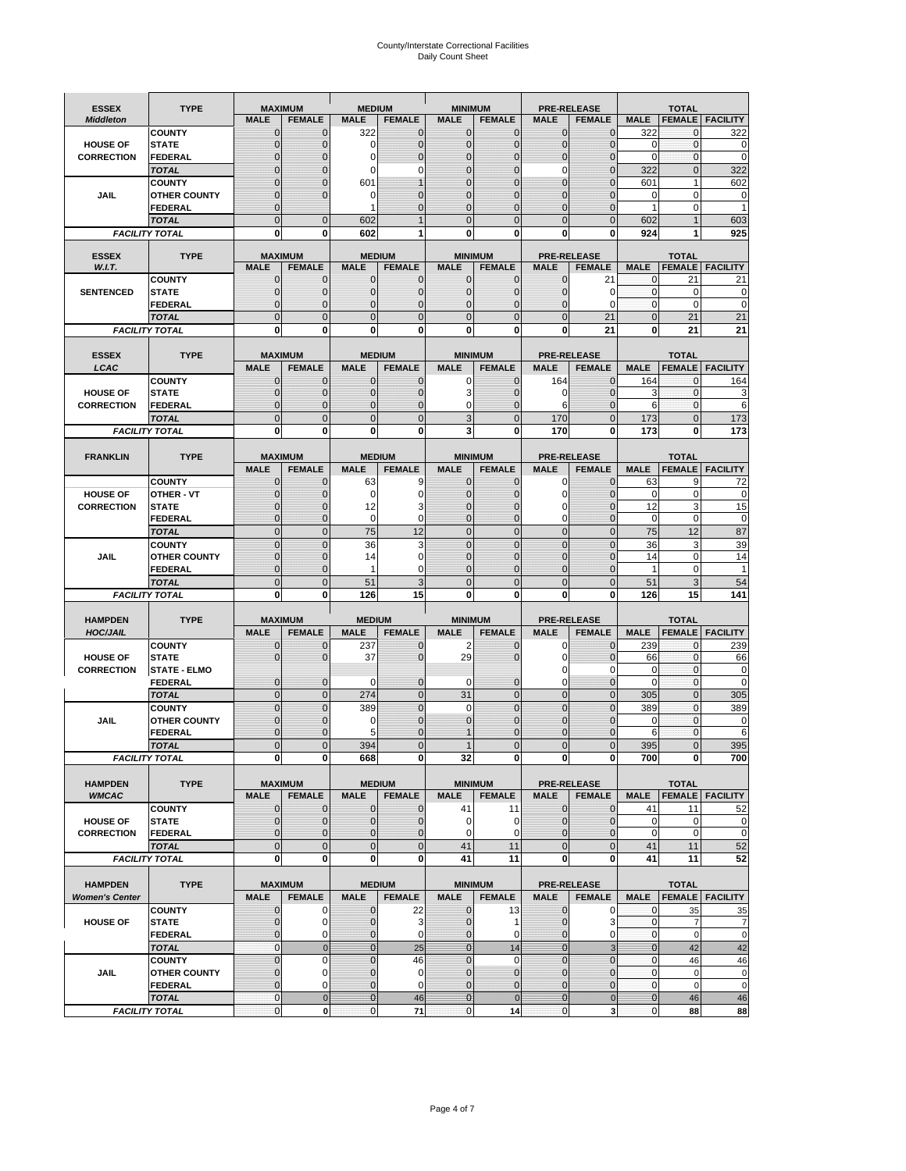# County/Interstate Correctional Facilities Daily Count Sheet

| <b>ESSEX</b>                   | <b>TYPE</b>                           |                              | <b>MAXIMUM</b>                  | <b>MEDIUM</b>                    |                                  | <b>MINIMUM</b>                   |                                 |                                  | <b>PRE-RELEASE</b>                  |                             | <b>TOTAL</b>                  |                        |
|--------------------------------|---------------------------------------|------------------------------|---------------------------------|----------------------------------|----------------------------------|----------------------------------|---------------------------------|----------------------------------|-------------------------------------|-----------------------------|-------------------------------|------------------------|
| <b>Middleton</b>               |                                       | <b>MALE</b>                  | <b>FEMALE</b>                   | <b>MALE</b>                      | <b>FEMALE</b>                    | <b>MALE</b>                      | <b>FEMALE</b>                   | <b>MALE</b>                      | <b>FEMALE</b>                       | <b>MALE</b>                 |                               | <b>FEMALE FACILITY</b> |
|                                | <b>COUNTY</b>                         | $\mathbf{0}$                 | $\mathbf{0}$                    | 322                              | $\mathbf{0}$                     | $\mathbf 0$                      | $\mathbf{0}$                    | $\mathbf{0}$                     | $\Omega$                            | 322                         | 0                             | 322                    |
| <b>HOUSE OF</b>                | <b>STATE</b>                          | 0                            | $\mathbf{0}$                    | 0                                | 0                                | $\mathbf 0$                      | $\mathbf{0}$                    | 0                                | $\Omega$                            | $\mathbf 0$                 | $\mathbf{0}$                  | 0                      |
| <b>CORRECTION</b>              | <b>FEDERAL</b>                        | $\Omega$                     | $\mathbf 0$                     | 0                                | $\mathbf 0$                      | $\Omega$                         | $\Omega$                        | 0                                | $\Omega$                            | $\mathbf 0$                 | $\mathbf{0}$                  | $\mathbf 0$            |
|                                | <b>TOTAL</b><br><b>COUNTY</b>         | ი<br>O                       | $\Omega$<br>$\mathbf 0$         | 0<br>601                         | 0                                | $\Omega$<br>$\Omega$             | $\Omega$<br>$\Omega$            | 0<br>$\overline{0}$              | C<br>$\sqrt{ }$                     | 322<br>601                  | $\mathbf{0}$<br>$\mathbf{1}$  | 322<br>602             |
| <b>JAIL</b>                    | <b>OTHER COUNTY</b>                   | $\Omega$                     | $\mathbf 0$                     | 0                                | $\Omega$                         | $\Omega$                         |                                 | $\overline{0}$                   | C                                   | 0                           | $\mathbf 0$                   | 0                      |
|                                | <b>FEDERAL</b>                        | $\mathbf{0}$                 |                                 | 1                                | 0                                | $\mathbf 0$                      | $\Omega$                        | $\overline{0}$                   | $\mathbf 0$                         | 1                           | $\mathbf 0$                   | 1                      |
|                                | <b>TOTAL</b>                          | $\overline{0}$               | $\mathbf 0$                     | 602                              | $\overline{1}$                   | $\Omega$                         | $\Omega$                        | $\Omega$                         | $\Omega$                            | 602                         | 1                             | 603                    |
|                                | <b>FACILITY TOTAL</b>                 | 0                            | 0                               | 602                              |                                  | 0                                | 0                               | 0                                | 0                                   | 924                         |                               | 925                    |
|                                |                                       |                              |                                 |                                  |                                  |                                  |                                 |                                  |                                     |                             |                               |                        |
| <b>ESSEX</b><br>W.I.T.         | <b>TYPE</b>                           | <b>MALE</b>                  | <b>MAXIMUM</b><br><b>FEMALE</b> | <b>MALE</b>                      | <b>MEDIUM</b><br><b>FEMALE</b>   | <b>MALE</b>                      | <b>MINIMUM</b><br><b>FEMALE</b> | <b>MALE</b>                      | <b>PRE-RELEASE</b><br><b>FEMALE</b> | <b>MALE</b>                 | <b>TOTAL</b><br><b>FEMALE</b> | <b>FACILITY</b>        |
|                                | <b>COUNTY</b>                         | $\mathbf{0}$                 | $\mathbf{0}$                    | 0                                | $\mathbf{0}$                     | $\mathbf 0$                      | $\mathbf{0}$                    | 0                                | 21                                  | 0                           | 21                            | 21                     |
| <b>SENTENCED</b>               | <b>STATE</b>                          | $\mathbf{0}$                 | $\mathbf 0$                     | $\overline{0}$                   | $\mathbf 0$                      | $\overline{0}$                   | $\mathbf{0}$                    | $\overline{0}$                   | 0                                   | $\mathbf{0}$                | $\mathbf 0$                   | 0                      |
|                                | <b>FEDERAL</b>                        | $\mathbf{0}$                 | $\mathbf 0$                     | $\overline{0}$                   | $\mathbf 0$                      | $\mathbf 0$                      | $\Omega$                        | 0                                | $\Omega$                            | $\mathbf{0}$                | $\Omega$                      | $\mathbf 0$            |
|                                | <b>TOTAL</b>                          | $\overline{0}$               | $\overline{0}$                  | $\Omega$                         | $\overline{0}$                   | $\overline{0}$                   | $\Omega$                        | $\overline{0}$                   | 21                                  | $\mathbf{0}$                | 21                            | 21                     |
|                                | <b>FACILITY TOTAL</b>                 | $\bf{0}$                     | 0                               | 0                                | 0                                | 0                                | 0                               | 0                                | 21                                  | 0                           | 21                            | 21                     |
| <b>ESSEX</b>                   | <b>TYPE</b>                           |                              | <b>MAXIMUM</b>                  |                                  | <b>MEDIUM</b>                    |                                  | <b>MINIMUM</b>                  |                                  | <b>PRE-RELEASE</b>                  |                             | <b>TOTAL</b>                  |                        |
| LCAC                           |                                       | <b>MALE</b>                  | <b>FEMALE</b>                   | <b>MALE</b>                      | <b>FEMALE</b>                    | <b>MALE</b>                      | <b>FEMALE</b>                   | <b>MALE</b>                      | <b>FEMALE</b>                       | <b>MALE</b>                 | <b>FEMALE</b>                 | <b>FACILITY</b>        |
|                                | <b>COUNTY</b>                         | $\mathbf 0$                  | $\mathbf{0}$                    | $\mathbf{0}$                     | $\mathbf{0}$                     | $\mathbf 0$                      | $\mathbf{0}$                    | 164                              | $\Omega$                            | 164                         | $\mathbf{0}$                  | 164                    |
| <b>HOUSE OF</b>                | <b>STATE</b>                          | $\mathbf{0}$                 | $\mathbf 0$                     | $\overline{0}$                   | 0                                | 3                                | $\Omega$                        | 0                                | $\Omega$                            | 3                           | $\mathbf{0}$                  | 3                      |
| <b>CORRECTION</b>              | <b>FEDERAL</b>                        | $\mathbf{0}$                 | $\overline{0}$                  | $\overline{0}$                   | $\overline{0}$                   | $\mathbf 0$                      | $\mathbf{0}$                    | 6                                | $\overline{0}$                      | 6                           | $\mathbf 0$                   | 6                      |
|                                | <b>TOTAL</b><br><b>FACILITY TOTAL</b> | $\overline{0}$               | $\mathbf 0$                     | $\overline{0}$<br>0              | $\mathbf{0}$                     | 3<br>3                           | $\mathbf{0}$<br>0               | 170                              | $\overline{0}$<br>0                 | 173                         | $\mathbf{0}$<br>0             | 173<br>173             |
|                                |                                       | 0                            | 0                               |                                  | 0                                |                                  |                                 | 170                              |                                     | 173                         |                               |                        |
| <b>FRANKLIN</b>                | <b>TYPE</b>                           |                              | <b>MAXIMUM</b>                  |                                  | <b>MEDIUM</b>                    |                                  | <b>MINIMUM</b>                  |                                  | <b>PRE-RELEASE</b>                  |                             | <b>TOTAL</b>                  |                        |
|                                |                                       | <b>MALE</b>                  | <b>FEMALE</b>                   | <b>MALE</b>                      | <b>FEMALE</b>                    | <b>MALE</b>                      | <b>FEMALE</b>                   | <b>MALE</b>                      | <b>FEMALE</b>                       | <b>MALE</b>                 | <b>FEMALE</b>                 | <b>FACILITY</b>        |
|                                | <b>COUNTY</b>                         | 0                            | $\mathbf 0$                     | 63                               | 9                                | 0                                | 0                               | 0                                | $\mathbf 0$                         | 63                          | 9                             | 72                     |
| <b>HOUSE OF</b>                | <b>OTHER - VT</b>                     | $\mathbf{0}$                 | $\mathbf 0$                     | $\mathbf 0$                      | $\mathbf 0$                      | $\overline{0}$                   | $\Omega$                        | 0                                | $\Omega$                            | $\mathbf 0$                 | $\mathbf 0$                   | 0                      |
| <b>CORRECTION</b>              | <b>STATE</b>                          | 0                            | $\mathbf{0}$                    | 12                               | 3                                | $\mathbf 0$                      | $\Omega$                        | 0                                | $\Omega$                            | 12                          | 3                             | 15                     |
|                                | <b>FEDERAL</b><br><b>TOTAL</b>        | $\mathbf{0}$<br>$\mathbf{0}$ | $\mathbf{0}$<br>$\mathbf{0}$    | $\mathbf 0$<br>75                | 0<br>12                          | $\mathbf 0$<br>$\overline{0}$    | $\Omega$<br>$\overline{0}$      | 0<br>$\overline{0}$              | $\overline{0}$<br>$\overline{0}$    | $\mathbf 0$<br>75           | $\mathbf 0$<br>12             | 0<br>87                |
|                                | <b>COUNTY</b>                         | $\mathbf 0$                  | $\mathbf{0}$                    | 36                               | 3                                | $\mathbf 0$                      | $\mathbf 0$                     | $\mathbf 0$                      | $\overline{0}$                      | 36                          | 3                             | 39                     |
| <b>JAIL</b>                    | <b>OTHER COUNTY</b>                   | $\mathbf{0}$                 | $\mathbf 0$                     | 14                               | 0                                | $\Omega$                         | $\Omega$                        | 0                                | $\Omega$                            | 14                          | $\Omega$                      | 14                     |
|                                | <b>FEDERAL</b>                        | $\mathbf{0}$                 | $\mathbf 0$                     | 1                                | 0                                | $\overline{0}$                   | $\mathbf{0}$                    | 0                                | $\mathbf 0$                         | $\mathbf{1}$                | $\mathbf 0$                   |                        |
|                                | <b>TOTAL</b>                          | $\pmb{0}$                    | $\mathbf 0$                     | 51                               | 3                                | $\mathbf 0$                      | $\mathbf{0}$                    | $\mathbf 0$                      | $\overline{0}$                      | 51                          | 3                             | 54                     |
|                                | <b>FACILITY TOTAL</b>                 | 0                            | 0                               | 126                              | 15                               | 0                                | $\Omega$                        | 0                                | 0                                   | 126                         | 15                            | 141                    |
| <b>HAMPDEN</b>                 | <b>TYPE</b>                           |                              | <b>MAXIMUM</b>                  | <b>MEDIUM</b>                    |                                  | <b>MINIMUM</b>                   |                                 |                                  | <b>PRE-RELEASE</b>                  |                             | <b>TOTAL</b>                  |                        |
| <b>HOC/JAIL</b>                |                                       | <b>MALE</b>                  | <b>FEMALE</b>                   | <b>MALE</b>                      | <b>FEMALE</b>                    | <b>MALE</b>                      | <b>FEMALE</b>                   | <b>MALE</b>                      | <b>FEMALE</b>                       | <b>MALE</b>                 | <b>FEMALE</b>                 | <b>FACILITY</b>        |
|                                | <b>COUNTY</b>                         | $\mathbf{0}$                 | $\mathbf 0$                     | 237                              | $\mathbf{0}$                     | 2                                | $\mathbf 0$                     | 0                                | $\mathbf 0$                         | 239                         | $\mathbf{0}$                  | 239                    |
| <b>HOUSE OF</b>                | <b>STATE</b>                          | $\mathbf{0}$                 | $\mathbf 0$                     | 37                               | 0                                | 29                               | $\Omega$                        | 0                                | $\Omega$                            | 66                          | $\mathbf{0}$                  | 66                     |
| <b>CORRECTION</b>              | <b>STATE - ELMO</b>                   |                              |                                 |                                  |                                  |                                  |                                 | 0                                | $\Omega$                            | 0                           | $\mathbf{0}$                  | 0                      |
|                                | <b>FEDERAL</b>                        | $\mathbf 0$                  | $\mathbf{0}$                    | 0                                | 0                                | $\mathbf 0$                      | $\mathbf 0$                     | 0                                | $\overline{0}$                      | $\Omega$                    | $\mathbf{0}$                  | 0                      |
|                                | <b>TOTAL</b><br><b>COUNTY</b>         | $\pmb{0}$<br>$\Omega$        | $\mathbf 0$<br>$\overline{0}$   | 274<br>389                       | $\overline{0}$<br>$\overline{0}$ | 31<br>$\Omega$                   | $\mathbf{0}$<br>$\Omega$        | $\overline{0}$<br>$\overline{0}$ | $\overline{0}$<br>$\Omega$          | 305<br>389                  | $\mathbf{0}$<br>$\Omega$      | 305                    |
| JAIL                           | <b>OTHER COUNTY</b>                   | $\mathbf{0}$                 | $\mathbf 0$                     | 0                                | 0                                | $\overline{0}$                   | $\Omega$                        | $\overline{0}$                   | $\Omega$                            | $\mathbf 0$                 | $\mathbf{0}$                  | 389<br>0               |
|                                | <b>FEDERAL</b>                        | $\mathbf{0}$                 | $\mathbf 0$                     | 5                                | $\Omega$                         |                                  | $\Omega$                        | 0                                | $\Omega$                            | 6                           | $\Omega$                      | 6                      |
|                                | <b>TOTAL</b>                          | $\Omega$                     | $\Omega$                        | 394                              | $\Omega$                         |                                  | $\Omega$                        | $\overline{0}$                   |                                     | 395                         |                               | 395                    |
|                                | <b>FACILITY TOTAL</b>                 | 0                            | $\boldsymbol{0}$                | 668                              | 0                                | 32                               | 0                               | <sub>0</sub>                     | 0                                   | 700                         | 0                             | 700                    |
|                                |                                       |                              |                                 |                                  |                                  |                                  |                                 |                                  |                                     |                             |                               |                        |
| <b>HAMPDEN</b><br><b>WMCAC</b> | <b>TYPE</b>                           | <b>MALE</b>                  | <b>MAXIMUM</b><br><b>FEMALE</b> | <b>MALE</b>                      | <b>MEDIUM</b><br><b>FEMALE</b>   | <b>MALE</b>                      | <b>MINIMUM</b><br><b>FEMALE</b> | <b>MALE</b>                      | <b>PRE-RELEASE</b><br><b>FEMALE</b> | <b>MALE</b>                 | <b>TOTAL</b>                  | <b>FEMALE FACILITY</b> |
|                                | <b>COUNTY</b>                         | $\mathbf 0$                  | $\mathbf 0$                     | $\overline{0}$                   | $\mathbf{0}$                     | 41                               | 11                              | $\mathbf{0}$                     | $\mathbf 0$                         | 41                          | 11                            | 52                     |
| <b>HOUSE OF</b>                | <b>STATE</b>                          | $\mathbf 0$                  | $\mathbf{0}$                    | $\mathbf{0}$                     | 0                                | $\mathbf 0$                      | 0                               | 0                                | $\mathbf{0}$                        | $\mathbf 0$                 | $\mathbf 0$                   | 0                      |
| <b>CORRECTION</b>              | <b>FEDERAL</b>                        | $\mathbf{0}$                 | $\mathbf 0$                     | $\overline{0}$                   | $\overline{0}$                   | $\mathbf 0$                      | 0                               | 0                                | $\mathbf{0}$                        | $\mathbf 0$                 | $\mathbf 0$                   | $\pmb{0}$              |
|                                | <b>TOTAL</b>                          | $\mathbf 0$                  | $\mathbf 0$                     | $\mathbf{0}$                     | $\mathbf 0$                      | 41                               | 11                              | $\mathbf 0$                      | $\mathbf 0$                         | 41                          | 11                            | 52                     |
|                                | <b>FACILITY TOTAL</b>                 | $\mathbf{0}$                 | $\bf{0}$                        | $\mathbf{0}$                     | 0                                | 41                               | 11                              | 0                                | 0                                   | 41                          | 11                            | 52                     |
| <b>HAMPDEN</b>                 | <b>TYPE</b>                           |                              | <b>MAXIMUM</b>                  |                                  | <b>MEDIUM</b>                    |                                  | <b>MINIMUM</b>                  |                                  | <b>PRE-RELEASE</b>                  |                             | <b>TOTAL</b>                  |                        |
| <b>Women's Center</b>          |                                       | <b>MALE</b>                  | <b>FEMALE</b>                   | <b>MALE</b>                      | <b>FEMALE</b>                    | <b>MALE</b>                      | <b>FEMALE</b>                   | <b>MALE</b>                      | <b>FEMALE</b>                       | <b>MALE</b>                 |                               | <b>FEMALE FACILITY</b> |
|                                | <b>COUNTY</b>                         | 0                            | 0                               | 0                                | 22                               | 0                                | 13                              | 0                                | 0                                   | 0                           | 35                            | 35                     |
| <b>HOUSE OF</b>                | <b>STATE</b>                          | $\mathbf{0}$                 | $\mathbf 0$                     | $\overline{0}$                   | 3                                | $\overline{0}$                   | 1                               | $\overline{0}$                   | 3                                   | $\overline{0}$              | $\overline{7}$                | 7                      |
|                                | <b>FEDERAL</b>                        | $\mathbf 0$                  | 0                               | $\mathbf 0$                      | 0                                | $\mathbf{0}$                     | 0                               | 0                                | 0                                   | $\mathbf 0$                 | $\mathbf 0$                   | $\mathbf 0$            |
|                                | <b>TOTAL</b>                          | $\mathbf{0}$                 | $\mathbf{0}$                    | $\overline{0}$                   | 25                               | $\overline{0}$                   | 14                              | $\mathbf{0}$                     | 3                                   | $\mathbf{0}$                | 42                            | 42                     |
| JAIL                           | <b>COUNTY</b><br><b>OTHER COUNTY</b>  | $\mathbf 0$<br>0             | $\mathbf 0$<br>$\mathbf 0$      | $\overline{0}$<br>$\overline{0}$ | 46<br>0                          | $\overline{0}$<br>$\overline{0}$ | $\Omega$<br>$\mathbf{0}$        | $\overline{0}$<br>$\mathbf 0$    | $\overline{0}$<br>$\mathbf 0$       | $\mathbf{0}$<br>$\mathbf 0$ | 46<br>$\mathbf 0$             | 46<br>0                |
|                                | <b>FEDERAL</b>                        | $\mathbf{0}$                 | 0                               | $\mathbf{0}$                     | 0                                | 0                                | $\mathbf{0}$                    | 0                                | $\mathbf 0$                         | $\mathbf 0$                 | $\mathbf 0$                   | $\pmb{0}$              |
|                                | <b>TOTAL</b>                          | $\mathbf{0}$                 | $\pmb{0}$                       | $\overline{0}$                   | 46                               | $\bf 0$                          | $\mathbf{0}$                    | $\bf{0}$                         | $\mathbf 0$                         | $\mathbf{0}$                | 46                            | 46                     |
|                                | <b>FACILITY TOTAL</b>                 | $\mathbf 0$                  | $\mathbf 0$                     | $\overline{0}$                   | 71                               | $\mathbf 0$                      | 14                              | 0                                | 3                                   | $\mathbf 0$                 | 88                            | 88                     |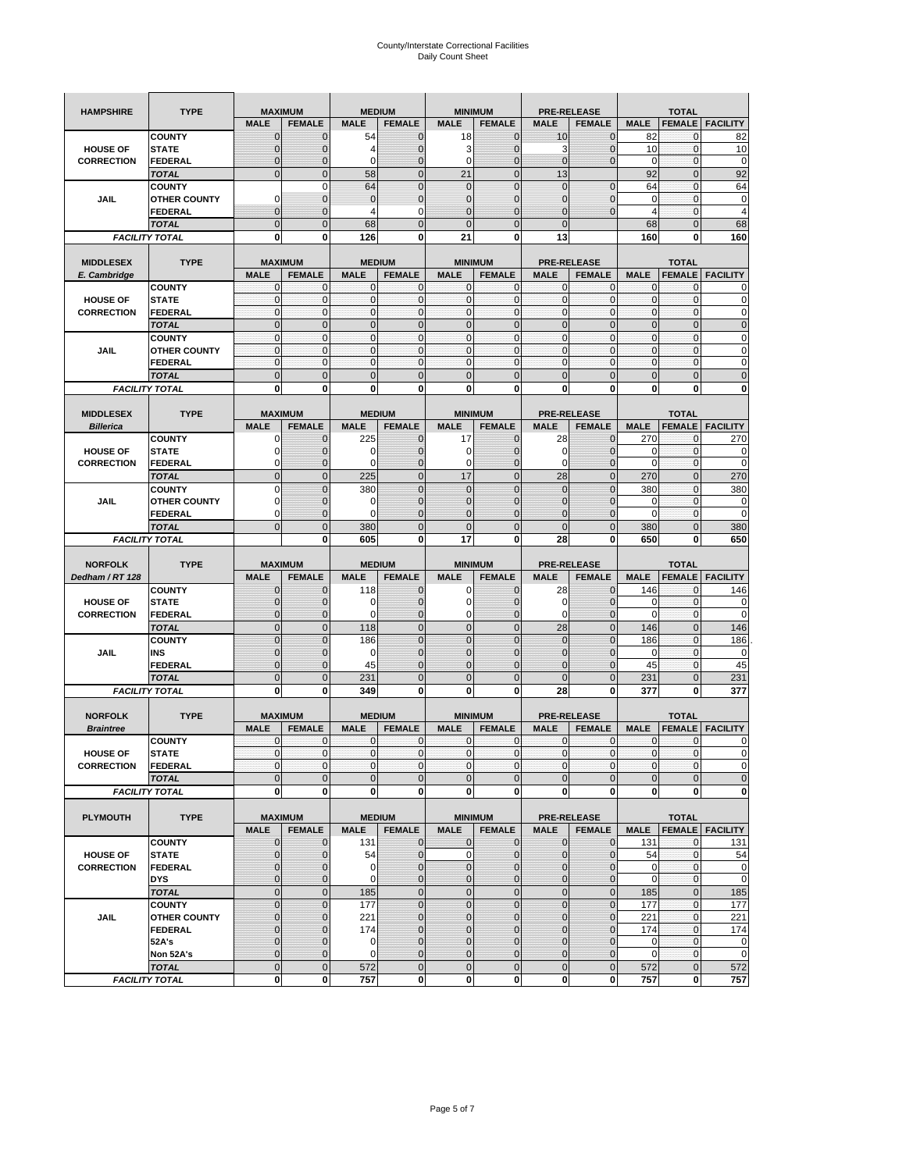| <b>HAMPSHIRE</b>  | <b>TYPE</b>                          |                             | <b>MAXIMUM</b>               |                            | <b>MEDIUM</b>       |                                | <b>MINIMUM</b>                   |                             | <b>PRE-RELEASE</b>            |                             | <b>TOTAL</b>                  |                                                                              |
|-------------------|--------------------------------------|-----------------------------|------------------------------|----------------------------|---------------------|--------------------------------|----------------------------------|-----------------------------|-------------------------------|-----------------------------|-------------------------------|------------------------------------------------------------------------------|
|                   |                                      | <b>MALE</b>                 | <b>FEMALE</b>                | <b>MALE</b>                | <b>FEMALE</b>       | <b>MALE</b>                    | <b>FEMALE</b>                    | <b>MALE</b>                 | <b>FEMALE</b>                 | <b>MALE</b>                 | <b>FEMALE</b>                 | <b>FACILITY</b>                                                              |
|                   | <b>COUNTY</b>                        | $\mathbf{0}$                | $\mathbf 0$                  | 54                         | $\mathbf{0}$        | 18                             | $\mathbf{0}$                     | 10                          | $\overline{0}$                | 82                          | 0                             | 82                                                                           |
| <b>HOUSE OF</b>   | <b>STATE</b>                         | $\mathbf 0$                 | 0                            | 4                          | 0                   | 3                              | $\overline{0}$                   | 3                           | $\mathbf 0$                   | 10                          | $\mathbf 0$                   | 10                                                                           |
| <b>CORRECTION</b> | FEDERAL                              | $\mathbf 0$                 | $\overline{0}$               | 0                          | $\mathbf 0$         | $\mathbf 0$                    | $\overline{0}$                   | $\mathbf{0}$                | $\overline{0}$                | 0                           | $\mathbf{0}$                  | 0                                                                            |
|                   | <b>TOTAL</b>                         | $\mathbf{0}$                | $\overline{0}$               | 58                         | $\mathbf{0}$        | 21                             | $\overline{0}$                   | 13                          |                               | 92                          | $\pmb{0}$                     | 92                                                                           |
|                   | <b>COUNTY</b>                        |                             | $\mathbf 0$                  | 64                         | $\mathbf 0$         | $\mathbf 0$                    | $\Omega$                         | $\mathbf 0$                 | $\mathbf 0$                   | 64                          | $\mathbf 0$                   | 64                                                                           |
| <b>JAIL</b>       | <b>OTHER COUNTY</b>                  | 0                           | $\mathbf 0$                  | $\mathbf{0}$               | $\pmb{0}$           | $\mathbf{0}$                   | $\overline{0}$                   | 0                           | $\mathbf 0$                   | $\mathbf 0$                 | $\mathbf{0}$                  | 0                                                                            |
|                   | <b>FEDERAL</b>                       | $\mathbf{0}$                | $\mathbf 0$                  | 4                          | 0                   | $\overline{0}$                 | $\mathbf{0}$                     | $\overline{0}$              | $\overline{0}$                | $\overline{4}$              | $\pmb{0}$                     | $\overline{4}$                                                               |
|                   | <b>TOTAL</b>                         | $\mathbf{0}$                | $\mathbf 0$                  | 68                         | $\mathbf 0$         | $\overline{0}$                 | $\overline{0}$                   | $\mathbf{0}$                |                               | 68                          | $\mathbf 0$                   | 68                                                                           |
|                   | <b>FACILITY TOTAL</b>                | 0                           | 0                            | 126                        | 0                   | 21                             | 0                                | 13                          |                               | 160                         | 0                             | 160                                                                          |
|                   |                                      |                             |                              |                            |                     |                                |                                  |                             |                               |                             |                               |                                                                              |
| <b>MIDDLESEX</b>  | <b>TYPE</b>                          |                             | <b>MAXIMUM</b>               |                            | <b>MEDIUM</b>       |                                | <b>MINIMUM</b>                   |                             | <b>PRE-RELEASE</b>            |                             | <b>TOTAL</b>                  |                                                                              |
| E. Cambridge      | <b>COUNTY</b>                        | <b>MALE</b><br>0            | <b>FEMALE</b><br>$\mathbf 0$ | <b>MALE</b><br>0           | <b>FEMALE</b><br>0  | <b>MALE</b><br>0               | <b>FEMALE</b><br>$\mathbf{0}$    | <b>MALE</b><br>$\mathbf{0}$ | <b>FEMALE</b><br>0            | <b>MALE</b><br>$\mathbf{0}$ | <b>FEMALE</b><br>0            | <b>FACILITY</b>                                                              |
| <b>HOUSE OF</b>   | <b>STATE</b>                         | $\pmb{0}$                   | $\mathbf 0$                  | $\mathbf 0$                | $\mathbf 0$         | $\mathbf 0$                    | $\mathbf 0$                      | $\mathbf{0}$                | $\mathbf 0$                   | $\pmb{0}$                   | $\mathbf{0}$                  | 0                                                                            |
| <b>CORRECTION</b> | <b>FEDERAL</b>                       | $\mathbf{0}$                | $\mathbf{0}$                 | $\mathbf 0$                | $\mathbf{0}$        | $\mathbf{0}$                   | $\mathbf{0}$                     | $\mathbf{0}$                | $\mathbf 0$                   | $\mathbf{0}$                | $\mathbf{0}$                  | 0                                                                            |
|                   | <b>TOTAL</b>                         | $\mathbf{0}$                | $\overline{0}$               | $\overline{0}$             | $\mathbf{0}$        | $\mathbf 0$                    | $\mathbf{0}$                     | $\mathbf{0}$                | $\overline{0}$                | $\pmb{0}$                   | $\mathbf{0}$                  | $\mathbf 0$                                                                  |
|                   | <b>COUNTY</b>                        | $\mathbf{0}$                | $\mathbf 0$                  | $\mathbf 0$                | $\mathbf 0$         | $\mathbf{0}$                   | $\mathbf{0}$                     | $\mathbf{0}$                | $\mathbf 0$                   | $\bf 0$                     | $\pmb{0}$                     | 0                                                                            |
| JAIL              | <b>OTHER COUNTY</b>                  | $\mathbf{0}$                | $\mathbf 0$                  | $\mathbf 0$                | $\mathbf 0$         | $\mathbf 0$                    | $\Omega$                         | $\mathbf{0}$                | $\mathbf 0$                   | $\mathbf{0}$                | $\mathbf{0}$                  | 0                                                                            |
|                   | <b>FEDERAL</b>                       | $\mathbf{0}$                | $\mathbf{0}$                 | $\mathbf{0}$               | $\mathbf 0$         | $\mathbf 0$                    | $\mathbf{0}$                     | $\pmb{0}$                   | $\mathbf 0$                   | $\mathbf{0}$                | $\pmb{0}$                     | 0                                                                            |
|                   | <b>TOTAL</b>                         | $\mathbf{0}$                | $\overline{0}$               | $\mathbf{0}$               | $\mathbf 0$         | $\mathbf{0}$                   | $\mathbf 0$                      | $\mathbf{0}$                | $\overline{0}$                | $\mathbf 0$                 | $\mathbf 0$                   | $\overline{0}$                                                               |
|                   | <b>FACILITY TOTAL</b>                | 0                           | 0                            | $\mathbf 0$                | 0                   | 0                              | $\mathbf{0}$                     | $\bf{0}$                    | 0                             | 0                           | 0                             | 0                                                                            |
|                   |                                      |                             |                              |                            |                     |                                |                                  |                             |                               |                             |                               |                                                                              |
| <b>MIDDLESEX</b>  | <b>TYPE</b>                          |                             | <b>MAXIMUM</b>               |                            | <b>MEDIUM</b>       |                                | <b>MINIMUM</b>                   |                             | <b>PRE-RELEASE</b>            |                             | <b>TOTAL</b>                  |                                                                              |
| <b>Billerica</b>  |                                      | <b>MALE</b>                 | <b>FEMALE</b>                | <b>MALE</b>                | <b>FEMALE</b>       | <b>MALE</b>                    | <b>FEMALE</b>                    | <b>MALE</b>                 | <b>FEMALE</b>                 | <b>MALE</b>                 | <b>FEMALE</b>                 | <b>FACILITY</b>                                                              |
|                   | <b>COUNTY</b>                        | 0                           | $\mathbf 0$                  | 225                        | $\mathbf{0}$        | 17                             | $\mathbf{0}$                     | 28                          | $\overline{0}$                | 270                         | 0                             | 270                                                                          |
| <b>HOUSE OF</b>   | <b>STATE</b>                         | 0                           | $\overline{0}$               | 0                          | $\mathbf{0}$        | $\mathbf 0$                    | $\mathbf{0}$                     | 0                           | $\overline{0}$                | 0                           | $\mathbf 0$                   | 0                                                                            |
| <b>CORRECTION</b> | <b>FEDERAL</b>                       | 0                           | $\mathbf 0$                  | $\mathbf 0$                | $\mathbf{0}$        | 0                              | $\mathbf{0}$                     | 0                           | $\mathbf 0$                   | $\mathbf 0$                 | $\pmb{0}$                     | 0                                                                            |
|                   | <b>TOTAL</b>                         | $\mathbf{0}$                | $\overline{0}$               | 225                        | $\mathbf{0}$        | 17                             | $\mathbf 0$                      | 28                          | $\overline{0}$                | 270                         | $\mathbf{0}$                  | 270                                                                          |
|                   | <b>COUNTY</b><br><b>OTHER COUNTY</b> | $\mathbf 0$<br>0            | $\overline{0}$               | 380<br>0                   | $\overline{0}$      | $\overline{0}$<br>$\mathbf{0}$ | $\overline{0}$<br>$\overline{0}$ | $\mathbf 0$                 | $\overline{0}$                | 380                         | $\mathbf{0}$                  | 380                                                                          |
| <b>JAIL</b>       | <b>FEDERAL</b>                       | 0                           | 0<br>$\overline{0}$          | $\Omega$                   | 0<br>$\overline{0}$ | $\overline{0}$                 | $\mathbf 0$                      | 0<br>0                      | $\mathbf 0$<br>$\overline{0}$ | 0<br>$\mathbf 0$            | 0<br>$\mathbf{0}$             | 0<br>0                                                                       |
|                   | <b>TOTAL</b>                         | $\mathbf{0}$                | $\mathbf 0$                  | 380                        | $\mathbf 0$         | $\overline{0}$                 | $\mathbf 0$                      | $\mathbf{0}$                | $\overline{0}$                | 380                         | $\mathbf 0$                   | 380                                                                          |
|                   | <b>FACILITY TOTAL</b>                |                             | 0                            | 605                        | 0                   | 17                             | 0                                | 28                          | 0                             | 650                         | 0                             | 650                                                                          |
|                   |                                      |                             |                              |                            |                     |                                |                                  |                             |                               |                             |                               |                                                                              |
|                   |                                      |                             |                              |                            |                     |                                |                                  |                             |                               |                             |                               |                                                                              |
| <b>NORFOLK</b>    | <b>TYPE</b>                          |                             | <b>MAXIMUM</b>               |                            | <b>MEDIUM</b>       |                                | <b>MINIMUM</b>                   |                             | <b>PRE-RELEASE</b>            |                             |                               |                                                                              |
| Dedham / RT 128   |                                      | <b>MALE</b>                 | <b>FEMALE</b>                | <b>MALE</b>                | <b>FEMALE</b>       | <b>MALE</b>                    | <b>FEMALE</b>                    | <b>MALE</b>                 | <b>FEMALE</b>                 | <b>MALE</b>                 | <b>TOTAL</b><br><b>FEMALE</b> | <b>FACILITY</b>                                                              |
|                   | <b>COUNTY</b>                        | $\mathbf{0}$                | $\mathbf 0$                  | 118                        | $\mathbf{0}$        | 0                              | $\mathbf{0}$                     | 28                          | $\overline{0}$                | 146                         | 0                             | 146                                                                          |
| <b>HOUSE OF</b>   | <b>STATE</b>                         | $\mathbf{0}$                | $\mathbf 0$                  | 0                          | $\overline{0}$      | $\mathbf 0$                    | $\mathbf{0}$                     | 0                           | $\overline{0}$                | 0                           | $\mathbf 0$                   |                                                                              |
| <b>CORRECTION</b> | <b>FEDERAL</b>                       | 0                           | 0                            | 0                          | 0                   | 0                              | $\overline{0}$                   | 0                           | 0                             | $\mathbf 0$                 | $\mathbf 0$                   | 0                                                                            |
|                   | <b>TOTAL</b>                         | $\mathbf{0}$                | $\mathbf 0$                  | 118                        | $\overline{0}$      | $\mathbf 0$                    | $\overline{0}$                   | 28                          | $\overline{0}$                | 146                         | $\mathbf{0}$                  | 146                                                                          |
|                   | <b>COUNTY</b>                        | $\mathbf{0}$                | $\overline{0}$               | 186                        | $\overline{0}$      | $\overline{0}$                 | $\overline{0}$                   | $\mathbf 0$                 | $\overline{0}$                | 186                         | $\mathbf 0$                   | 186                                                                          |
| <b>JAIL</b>       | INS                                  | $\mathbf 0$                 | 0                            | $\mathbf 0$                | 0                   | $\mathbf{0}$                   | $\overline{0}$                   | 0                           | 0                             | 0                           | 0                             | 0                                                                            |
|                   | <b>FEDERAL</b>                       | $\mathbf{0}$                | $\overline{0}$               | 45                         | $\overline{0}$      | $\overline{0}$                 | $\overline{0}$                   | $\overline{0}$              | $\mathbf 0$                   | 45                          | $\mathbf{0}$                  | 45                                                                           |
|                   | <b>TOTAL</b>                         | $\mathbf 0$                 | $\overline{0}$               | 231                        | $\overline{0}$      | $\overline{0}$                 | $\overline{0}$                   | $\overline{0}$              | $\overline{0}$                | 231                         | $\overline{0}$                | 231                                                                          |
|                   | <b>FACILITY TOTAL</b>                | 0                           | 0                            | 349                        | 0                   | 0                              | $\mathbf{0}$                     | 28                          | 0                             | 377                         | 0                             | 377                                                                          |
|                   |                                      |                             |                              |                            |                     |                                |                                  |                             |                               |                             |                               |                                                                              |
| <b>NORFOLK</b>    | <b>TYPE</b>                          |                             | <b>MAXIMUM</b>               |                            | <b>MEDIUM</b>       |                                | <b>MINIMUM</b>                   |                             | <b>PRE-RELEASE</b>            |                             | <b>TOTAL</b>                  |                                                                              |
| <b>Braintree</b>  |                                      | <b>MALE</b>                 | <b>FEMALE</b><br>$\mathbf 0$ | <b>MALE</b><br>$\mathbf 0$ | <b>FEMALE</b>       | <b>MALE</b>                    | <b>FEMALE</b><br>$\mathbf{0}$    | <b>MALE</b>                 | <b>FEMALE</b>                 | <b>MALE</b>                 | <b>FEMALE</b>                 | <b>FACILITY</b>                                                              |
| <b>HOUSE OF</b>   | <b>COUNTY</b><br><b>STATE</b>        | 0<br>$\mathbf{0}$           | $\mathbf{0}$                 | $\mathbf{O}$               | 0<br>$\overline{0}$ | 0<br>$\mathbf{0}$              | $\overline{0}$                   | 0<br>$\mathbf{0}$           | 0<br>$\overline{0}$           | 0<br>$\mathbf{0}$           | 0<br>$\mathbf{0}$             | 0<br>0                                                                       |
| <b>CORRECTION</b> | FEDERAL                              | $\mathbf 0$                 | 0                            | $\mathbf 0$                | $\mathbf 0$         | $\mathbf 0$                    | $\overline{0}$                   | 0                           | $\mathbf 0$                   | $\mathbf 0$                 | $\mathbf 0$                   | 0                                                                            |
|                   | <b>TOTAL</b>                         | $\pmb{0}$                   | $\mathbf 0$                  | $\mathbf 0$                | $\mathbf 0$         | $\mathbf{0}$                   | $\mathbf 0$                      | $\mathbf 0$                 | $\pmb{0}$                     | $\mathbf 0$                 | $\pmb{0}$                     | $\mathbf 0$                                                                  |
|                   | <b>FACILITY TOTAL</b>                | $\mathbf 0$                 | 0                            | $\mathbf{0}$               | 0                   | 0                              | <sub>0</sub>                     | $\mathbf 0$                 | 0                             | $\mathbf 0$                 | $\mathbf 0$                   |                                                                              |
|                   |                                      |                             |                              |                            |                     |                                |                                  |                             |                               |                             |                               | 0                                                                            |
| <b>PLYMOUTH</b>   | <b>TYPE</b>                          |                             | <b>MAXIMUM</b>               |                            | <b>MEDIUM</b>       |                                | <b>MINIMUM</b>                   |                             | <b>PRE-RELEASE</b>            |                             | <b>TOTAL</b>                  |                                                                              |
|                   |                                      | <b>MALE</b>                 | <b>FEMALE</b>                | <b>MALE</b>                | <b>FEMALE</b>       | <b>MALE</b>                    | <b>FEMALE</b>                    | <b>MALE</b>                 | <b>FEMALE</b>                 | <b>MALE</b>                 |                               | <b>FEMALE   FACILITY</b>                                                     |
|                   | <b>COUNTY</b>                        | $\mathbf{0}$                | $\mathbf{0}$                 | 131                        | $\mathbf 0$         | 0                              | $\mathbf{0}$                     | $\mathbf 0$                 | $\mathbf{0}$                  | 131                         | $\mathbf 0$                   | 131                                                                          |
| <b>HOUSE OF</b>   | <b>STATE</b>                         | $\mathbf 0$                 | $\mathbf 0$                  | 54                         | $\pmb{0}$           | $\pmb{0}$                      | $\mathbf 0$                      | $\mathbf 0$                 | $\overline{0}$                | 54                          | $\mathbf 0$                   |                                                                              |
| <b>CORRECTION</b> | <b>FEDERAL</b>                       | $\mathbf{0}$                | $\mathbf 0$                  | 0                          | $\mathbf 0$         | $\mathbf 0$                    | $\mathbf{0}$                     | 0                           | $\overline{0}$                | $\mathbf 0$                 | $\mathbf 0$                   |                                                                              |
|                   | <b>DYS</b>                           | $\mathbf{0}$                | $\mathbf{0}$                 | 0                          | $\pmb{0}$           | $\mathbf 0$                    | $\overline{0}$                   | $\mathbf 0$                 | $\mathbf 0$                   | $\mathbf 0$                 | $\mathbf 0$                   |                                                                              |
|                   | <b>TOTAL</b>                         | $\mathbf 0$                 | $\mathbf 0$                  | 185                        | $\mathbf 0$         | $\mathbf 0$                    | $\mathbf 0$                      | $\mathbf 0$                 | $\pmb{0}$                     | 185                         | $\mathbf{0}$                  | 185                                                                          |
|                   | <b>COUNTY</b>                        | $\pmb{0}$                   | $\mathbf 0$                  | 177                        | $\mathbf 0$         | $\mathbf{0}$                   | $\overline{0}$                   | $\mathbf 0$                 | $\pmb{0}$                     | 177                         | $\mathbf 0$                   | 177                                                                          |
| JAIL              | <b>OTHER COUNTY</b>                  | $\mathbf{0}$                | $\mathbf{0}$                 | 221                        | $\pmb{0}$           | $\mathbf 0$                    | $\overline{0}$                   | 0                           | $\mathbf 0$                   | 221                         | $\mathbf 0$                   | 221                                                                          |
|                   | <b>FEDERAL</b><br>52A's              | $\mathbf 0$<br>$\mathbf{0}$ | $\mathbf 0$<br>$\mathbf 0$   | 174<br>0                   | 0<br>$\mathbf{0}$   | $\mathbf 0$<br>$\overline{0}$  | $\overline{0}$<br>$\overline{0}$ | $\mathbf 0$<br>$\mathbf 0$  | $\mathbf 0$<br>$\mathbf 0$    | 174<br>$\mathbf 0$          | $\mathbf 0$<br>$\mathbf{0}$   |                                                                              |
|                   | Non 52A's                            | $\mathbf 0$                 | $\mathbf{0}$                 | 0                          | 0                   | $\mathbf 0$                    | $\overline{0}$                   | $\mathbf 0$                 | $\mathbf 0$                   | $\mathbf 0$                 | $\mathbf 0$                   |                                                                              |
|                   | <b>TOTAL</b>                         | $\mathbf 0$                 | $\mathbf 0$                  | 572                        | $\overline{0}$      | $\mathbf 0$                    | $\overline{0}$                   | $\mathbf 0$                 | $\pmb{0}$                     | 572                         | $\mathbf 0$                   | 54<br>$\mathbf 0$<br>$\mathbf 0$<br>174<br>$\mathbf 0$<br>$\mathbf 0$<br>572 |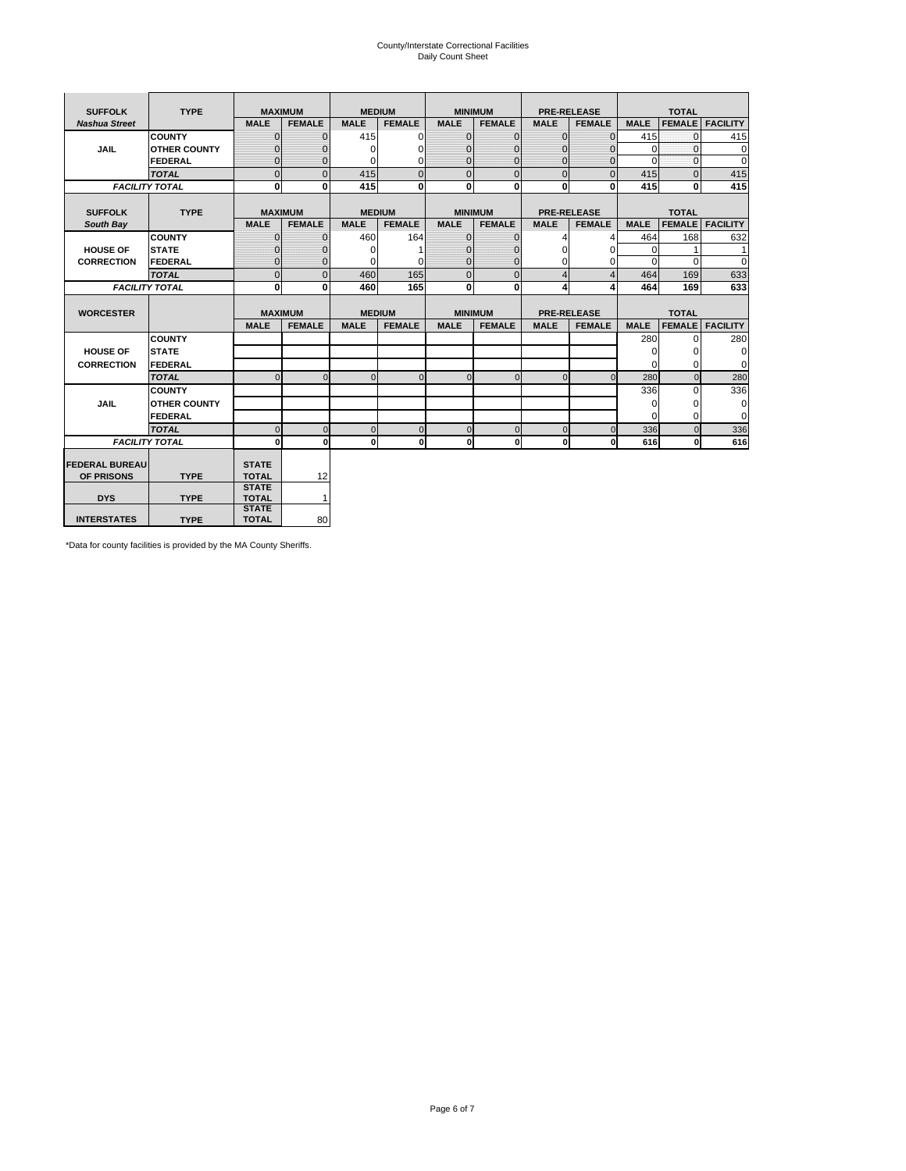# County/Interstate Correctional Facilities Daily Count Sheet

| <b>SUFFOLK</b>        | <b>TYPE</b>           |                              | <b>MAXIMUM</b> |               | <b>MEDIUM</b> | <b>MINIMUM</b> |               |                | <b>PRE-RELEASE</b> |             | <b>TOTAL</b>  |                 |
|-----------------------|-----------------------|------------------------------|----------------|---------------|---------------|----------------|---------------|----------------|--------------------|-------------|---------------|-----------------|
| <b>Nashua Street</b>  |                       | <b>MALE</b>                  | <b>FEMALE</b>  | <b>MALE</b>   | <b>FEMALE</b> | <b>MALE</b>    | <b>FEMALE</b> | <b>MALE</b>    | <b>FEMALE</b>      | <b>MALE</b> | <b>FEMALE</b> | <b>FACILITY</b> |
|                       | <b>COUNTY</b>         | $\Omega$                     | $\mathbf{0}$   | 415           | $\Omega$      | $\mathbf{0}$   | $\Omega$      | $\mathbf{0}$   | $\Omega$           | 415         | $\Omega$      | 415             |
| JAIL                  | <b>OTHER COUNTY</b>   | $\Omega$                     | $\Omega$       | $\Omega$      | 0             | $\Omega$       | $\Omega$      | $\Omega$       | $\Omega$           | $\Omega$    | $\Omega$      | 0               |
|                       | <b>FEDERAL</b>        | $\mathbf{0}$                 | $\mathbf{0}$   | 0             | 0             | $\mathbf{0}$   | $\mathbf{0}$  | $\mathbf 0$    | $\mathbf{0}$       | $\Omega$    | 0             | 0               |
|                       | <b>TOTAL</b>          | $\Omega$                     | $\Omega$       | 415           | $\Omega$      | $\overline{0}$ | $\Omega$      | $\Omega$       | $\Omega$           | 415         | $\Omega$      | 415             |
|                       | <b>FACILITY TOTAL</b> | 0                            | $\mathbf{0}$   | 415           | $\bf{0}$      | $\mathbf{0}$   | $\bf{0}$      | $\mathbf{0}$   | 0                  | 415         | 0             | 415             |
|                       |                       |                              |                |               |               |                |               |                |                    |             |               |                 |
| <b>SUFFOLK</b>        | <b>TYPE</b>           |                              | <b>MAXIMUM</b> | <b>MEDIUM</b> |               | <b>MINIMUM</b> |               |                | <b>PRE-RELEASE</b> |             | <b>TOTAL</b>  |                 |
| South Bay             |                       | <b>MALE</b>                  | <b>FEMALE</b>  | <b>MALE</b>   | <b>FEMALE</b> | <b>MALE</b>    | <b>FEMALE</b> | <b>MALE</b>    | <b>FEMALE</b>      | <b>MALE</b> | <b>FEMALE</b> | <b>FACILITY</b> |
|                       | <b>COUNTY</b>         | $\Omega$                     | $\mathbf{0}$   | 460           | 164           | $\mathbf{0}$   | $\mathbf{0}$  | 4              | 4                  | 464         | 168           | 632             |
| <b>HOUSE OF</b>       | <b>STATE</b>          |                              | $\overline{0}$ | $\Omega$      |               | $\Omega$       | O             | $\Omega$       | $\Omega$           | $\Omega$    |               | 1               |
| <b>CORRECTION</b>     | <b>FEDERAL</b>        | $\Omega$                     | $\overline{0}$ | 0             | $\Omega$      | $\mathbf{0}$   | $\mathbf{0}$  | $\Omega$       | 0                  | $\Omega$    | $\Omega$      | $\Omega$        |
|                       | <b>TOTAL</b>          | $\Omega$                     | $\overline{0}$ | 460           | 165           | $\mathbf 0$    | $\mathbf{0}$  | $\overline{4}$ | $\overline{4}$     | 464         | 169           | 633             |
|                       | <b>FACILITY TOTAL</b> | 0                            | 0              | 460           | 165           | $\mathbf{0}$   | 0             | 4              | 4                  | 464         | 169           | 633             |
|                       |                       |                              |                |               |               |                |               |                |                    |             |               |                 |
| <b>WORCESTER</b>      |                       |                              | <b>MAXIMUM</b> | <b>MEDIUM</b> |               | <b>MINIMUM</b> |               |                | <b>PRE-RELEASE</b> |             | <b>TOTAL</b>  |                 |
|                       |                       | <b>MALE</b>                  | <b>FEMALE</b>  | <b>MALE</b>   | <b>FEMALE</b> | <b>MALE</b>    | <b>FEMALE</b> | <b>MALE</b>    | <b>FEMALE</b>      | <b>MALE</b> | <b>FEMALE</b> | <b>FACILITY</b> |
|                       | <b>COUNTY</b>         |                              |                |               |               |                |               |                |                    | 280         | $\Omega$      | 280             |
| <b>HOUSE OF</b>       | <b>STATE</b>          |                              |                |               |               |                |               |                |                    | 0           | 0             | 0               |
| <b>CORRECTION</b>     | FEDERAL               |                              |                |               |               |                |               |                |                    | $\Omega$    | $\Omega$      | 0               |
|                       | <b>TOTAL</b>          | $\Omega$                     | $\mathbf{0}$   | $\Omega$      | $\mathbf 0$   | $\mathbf{0}$   | $\mathbf{0}$  | $\mathbf{0}$   | $\Omega$           | 280         | $\mathbf{0}$  | 280             |
|                       | <b>COUNTY</b>         |                              |                |               |               |                |               |                |                    | 336         | $\Omega$      | 336             |
| <b>JAIL</b>           | <b>OTHER COUNTY</b>   |                              |                |               |               |                |               |                |                    | $\Omega$    | $\Omega$      | 0               |
|                       | FEDERAL               |                              |                |               |               |                |               |                |                    | $\Omega$    | $\Omega$      | $\mathbf 0$     |
|                       | <b>TOTAL</b>          | $\cap$                       | $\Omega$       | $\Omega$      | $\mathbf{0}$  | $\mathbf{0}$   | $\Omega$      | $\Omega$       | $\Omega$           | 336         | $\Omega$      | 336             |
|                       |                       |                              |                |               |               |                |               |                |                    |             |               |                 |
|                       | <b>FACILITY TOTAL</b> | $\Omega$                     | 0              | $\Omega$      | 0             | $\mathbf{0}$   | $\bf{0}$      | $\mathbf 0$    | 0                  | 616         | O             | 616             |
|                       |                       |                              |                |               |               |                |               |                |                    |             |               |                 |
| <b>FEDERAL BUREAU</b> |                       | <b>STATE</b>                 |                |               |               |                |               |                |                    |             |               |                 |
| OF PRISONS            | <b>TYPE</b>           | <b>TOTAL</b>                 | 12             |               |               |                |               |                |                    |             |               |                 |
|                       |                       | <b>STATE</b>                 |                |               |               |                |               |                |                    |             |               |                 |
| <b>DYS</b>            | <b>TYPE</b>           | <b>TOTAL</b><br><b>STATE</b> | $\mathbf{1}$   |               |               |                |               |                |                    |             |               |                 |

\*Data for county facilities is provided by the MA County Sheriffs.